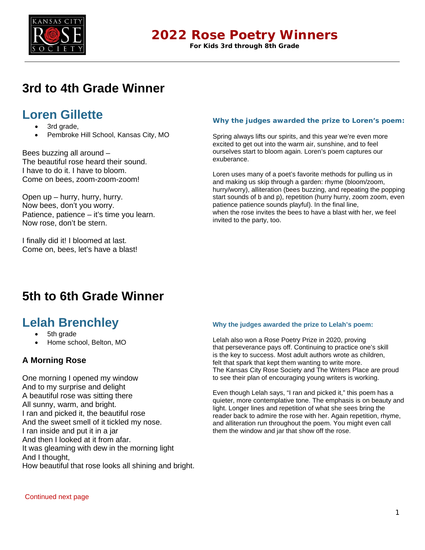

### **2022 Rose Poetry Winners**

**For Kids 3rd through 8th Grade**

# **3rd to 4th Grade Winner**

### **Loren Gillette**

- 3rd grade,
- Pembroke Hill School, Kansas City, MO

Bees buzzing all around – The beautiful rose heard their sound. I have to do it. I have to bloom. Come on bees, zoom-zoom-zoom!

Open up – hurry, hurry, hurry. Now bees, don't you worry. Patience, patience – it's time you learn. Now rose, don't be stern.

I finally did it! I bloomed at last. Come on, bees, let's have a blast!

### **Why the judges awarded the prize to Loren's poem:**

Spring always lifts our spirits, and this year we're even more excited to get out into the warm air, sunshine, and to feel ourselves start to bloom again. Loren's poem captures our exuberance.

Loren uses many of a poet's favorite methods for pulling us in and making us skip through a garden: rhyme (bloom/zoom, hurry/worry), alliteration (bees buzzing, and repeating the popping start sounds of b and p), repetition (hurry hurry, zoom zoom, even patience patience sounds playful). In the final line, when the rose invites the bees to have a blast with her, we feel invited to the party, too.

# **5th to 6th Grade Winner**

### **Lelah Brenchley**

- 5th grade
- Home school, Belton, MO

### **A Morning Rose**

One morning I opened my window And to my surprise and delight A beautiful rose was sitting there All sunny, warm, and bright. I ran and picked it, the beautiful rose And the sweet smell of it tickled my nose. I ran inside and put it in a jar And then I looked at it from afar. It was gleaming with dew in the morning light And I thought, How beautiful that rose looks all shining and bright.

### **Why the judges awarded the prize to Lelah's poem:**

Lelah also won a Rose Poetry Prize in 2020, proving that perseverance pays off. Continuing to practice one's skill is the key to success. Most adult authors wrote as children, felt that spark that kept them wanting to write more. The Kansas City Rose Society and The Writers Place are proud to see their plan of encouraging young writers is working.

Even though Lelah says, "I ran and picked it," this poem has a quieter, more contemplative tone. The emphasis is on beauty and light. Longer lines and repetition of what she sees bring the reader back to admire the rose with her. Again repetition, rhyme, and alliteration run throughout the poem. You might even call them the window and jar that show off the rose.

Continued next page